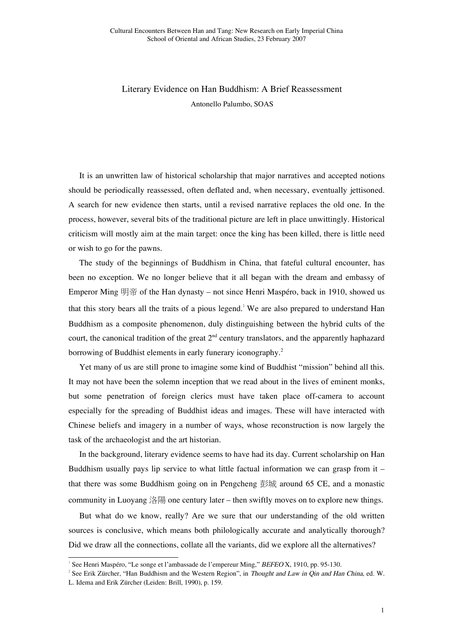## Literary Evidence on Han Buddhism: A Brief Reassessment Antonello Palumbo, SOAS

It is an unwritten law of historical scholarship that major narratives and accepted notions should be periodically reassessed, often deflated and, when necessary, eventually jettisoned. A search for new evidence then starts, until a revised narrative replaces the old one. In the process, however, several bits of the traditional picture are left in place unwittingly. Historical criticism will mostly aim at the main target: once the king has been killed, there is little need or wish to go for the pawns.

The study of the beginnings of Buddhism in China, that fateful cultural encounter, has been no exception. We no longer believe that it all began with the dream and embassy of Emperor Ming 明帝 of the Han dynasty – not since Henri Maspéro, back in 1910, showed us that this story bears all the traits of a pious legend.<sup>1</sup> We are also prepared to understand Han Buddhism as a composite phenomenon, duly distinguishing between the hybrid cults of the court, the canonical tradition of the great  $2<sup>nd</sup>$  century translators, and the apparently haphazard borrowing of Buddhist elements in early funerary iconography.<sup>2</sup>

Yet many of us are still prone to imagine some kind of Buddhist "mission" behind all this. It may not have been the solemn inception that we read about in the lives of eminent monks, but some penetration of foreign clerics must have taken place off-camera to account especially for the spreading of Buddhist ideas and images. These will have interacted with Chinese beliefs and imagery in a number of ways, whose reconstruction is now largely the task of the archaeologist and the art historian.

In the background, literary evidence seems to have had its day. Current scholarship on Han Buddhism usually pays lip service to what little factual information we can grasp from it  $$ that there was some Buddhism going on in Pengcheng 彭城 around 65 CE, and a monastic community in Luoyang 洛陽 one century later – then swiftly moves on to explore new things.

But what do we know, really? Are we sure that our understanding of the old written sources is conclusive, which means both philologically accurate and analytically thorough? Did we draw all the connections, collate all the variants, did we explore all the alternatives?

l

<sup>&</sup>lt;sup>1</sup> See Henri Maspéro, "Le songe et l'ambassade de l'empereur Ming," BEFEO X, 1910, pp. 95-130.

<sup>&</sup>lt;sup>2</sup> See Erik Zürcher, "Han Buddhism and the Western Region", in *Thought and Law in Qin and Han China*, ed. W. L. Idema and Erik Zürcher (Leiden: Brill, 1990), p. 159.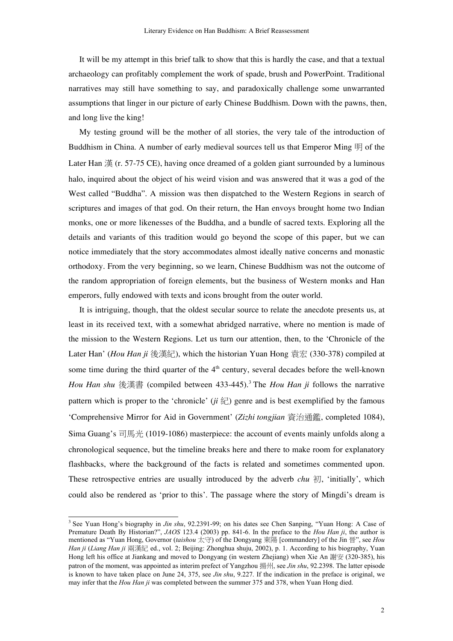It will be my attempt in this brief talk to show that this is hardly the case, and that a textual archaeology can profitably complement the work of spade, brush and PowerPoint. Traditional narratives may still have something to say, and paradoxically challenge some unwarranted assumptions that linger in our picture of early Chinese Buddhism. Down with the pawns, then, and long live the king!

My testing ground will be the mother of all stories, the very tale of the introduction of Buddhism in China. A number of early medieval sources tell us that Emperor Ming 明 of the Later Han 漢 (r. 57-75 CE), having once dreamed of a golden giant surrounded by a luminous halo, inquired about the object of his weird vision and was answered that it was a god of the West called "Buddha". A mission was then dispatched to the Western Regions in search of scriptures and images of that god. On their return, the Han envoys brought home two Indian monks, one or more likenesses of the Buddha, and a bundle of sacred texts. Exploring all the details and variants of this tradition would go beyond the scope of this paper, but we can notice immediately that the story accommodates almost ideally native concerns and monastic orthodoxy. From the very beginning, so we learn, Chinese Buddhism was not the outcome of the random appropriation of foreign elements, but the business of Western monks and Han emperors, fully endowed with texts and icons brought from the outer world.

It is intriguing, though, that the oldest secular source to relate the anecdote presents us, at least in its received text, with a somewhat abridged narrative, where no mention is made of the mission to the Western Regions. Let us turn our attention, then, to the 'Chronicle of the Later Han' (*Hou Han ji* 後漢紀), which the historian Yuan Hong 袁宏 (330-378) compiled at some time during the third quarter of the  $4<sup>th</sup>$  century, several decades before the well-known *Hou Han shu* 後漢書 (compiled between 433-445). <sup>3</sup> The *Hou Han ji* follows the narrative pattern which is proper to the 'chronicle'  $(ii \&\exists)$  genre and is best exemplified by the famous 'Comprehensive Mirror for Aid in Government' (*Zizhi tongjian* 資治通鑑, completed 1084), Sima Guang's 司馬光 (1019-1086) masterpiece: the account of events mainly unfolds along a chronological sequence, but the timeline breaks here and there to make room for explanatory flashbacks, where the background of the facts is related and sometimes commented upon. These retrospective entries are usually introduced by the adverb *chu* 初, 'initially', which could also be rendered as 'prior to this'. The passage where the story of Mingdi's dream is

 <sup>3</sup> See Yuan Hong's biography in *Jin shu*, 92.2391-99; on his dates see Chen Sanping, "Yuan Hong: <sup>A</sup> Case of Premature Death By Historian?", *JAOS* 123.4 (2003) pp. 841-6. In the preface to the *Hou Han ji*, the author is mentioned as "Yuan Hong, Governor (*taishou* 太守) of the Dongyang 東陽 [commandery] of the Jin 晉", see *Hou Han ji* (*Liang Han ji* 兩漢紀 ed., vol. 2; Beijing: Zhonghua shuju, 2002), p. 1. According to his biography, Yuan Hong left his office at Jiankang and moved to Dongyang (in western Zhejiang) when Xie An 謝安 (320-385), his patron of the moment, was appointed as interim prefect of Yangzhou 揚州, see *Jin shu*, 92.2398. The latter episode is known to have taken place on June 24, 375, see *Jin shu*, 9.227. If the indication in the preface is original, we may infer that the *Hou Han ji* was completed between the summer 375 and 378, when Yuan Hong died.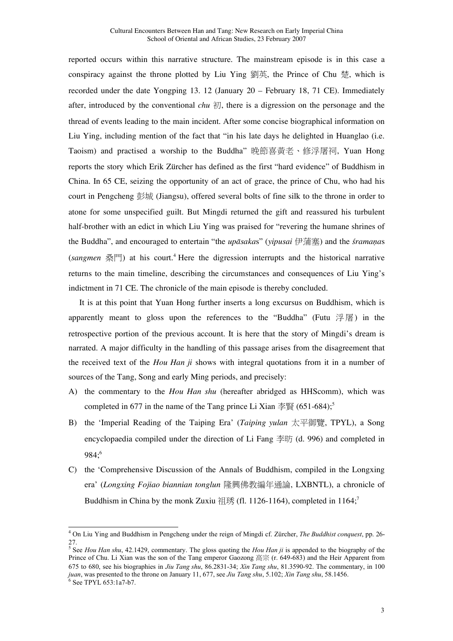reported occurs within this narrative structure. The mainstream episode is in this case a conspiracy against the throne plotted by Liu Ying 劉英, the Prince of Chu 楚, which is recorded under the date Yongping 13. 12 (January  $20 -$  February 18, 71 CE). Immediately after, introduced by the conventional *chu* 初, there is a digression on the personage and the thread of events leading to the main incident. After some concise biographical information on Liu Ying, including mention of the fact that "in his late days he delighted in Huanglao (i.e. Taoism) and practised a worship to the Buddha" 晚節喜黃老、修浮屠祠, Yuan Hong reports the story which Erik Zürcher has defined as the first "hard evidence" of Buddhism in China. In 65 CE, seizing the opportunity of an act of grace, the prince of Chu, who had his court in Pengcheng 彭城 (Jiangsu), offered several bolts of fine silk to the throne in order to atone for some unspecified guilt. But Mingdi returned the gift and reassured his turbulent half-brother with an edict in which Liu Ying was praised for "revering the humane shrines of the Buddha", and encouraged to entertain "the *upāsaka*s" (*yipusai* 伊蒲塞) and the *śramaṇa*s (*sangmen* 桑門) at his court. <sup>4</sup> Here the digression interrupts and the historical narrative returns to the main timeline, describing the circumstances and consequences of Liu Ying's indictment in 71 CE. The chronicle of the main episode is thereby concluded.

It is at this point that Yuan Hong further inserts a long excursus on Buddhism, which is apparently meant to gloss upon the references to the "Buddha" (Futu  $\mathfrak{F}_{\mathbb{R}}$ ) in the retrospective portion of the previous account. It is here that the story of Mingdi's dream is narrated. A major difficulty in the handling of this passage arises from the disagreement that the received text of the *Hou Han ji* shows with integral quotations from it in a number of sources of the Tang, Song and early Ming periods, and precisely:

- A) the commentary to the *Hou Han shu* (hereafter abridged as HHScomm), which was completed in 677 in the name of the Tang prince Li Xian 李賢 (651-684);<sup>5</sup>
- B) the 'Imperial Reading of the Taiping Era' (*Taiping yulan* 太平御覽, TPYL), a Song encyclopaedia compiled under the direction of Li Fang 李昉 (d. 996) and completed in 984; 6
- C) the 'Comprehensive Discussion of the Annals of Buddhism, compiled in the Longxing era' (*Longxing Fojiao biannian tonglun* 隆興佛教編年通論, LXBNTL), a chronicle of Buddhism in China by the monk Zuxiu 祖琇 (fl. 1126-1164), completed in 1164;<sup>7</sup>

 <sup>4</sup> On Liu Ying and Buddhism in Pengcheng under the reign of Mingdi cf. Zürcher, *The Buddhist conquest*, pp. 26-

<sup>27.&</sup>lt;br><sup>5</sup> See *Hou Han shu*, 42.1429, commentary. The gloss quoting the *Hou Han ji* is appended to the biography of the Prince of Chu. Li Xian was the son of the Tang emperor Gaozong 高宗 (r. 649-683) and the Heir Apparent from 675 to 680, see his biographies in *Jiu Tang shu*, 86.2831-34; *Xin Tang shu*, 81.3590-92. The commentary, in 100 *juan*, was presented to the throne on January 11, 677, see *Jiu Tang shu*, 5.102; *Xin Tang shu*, 58.1456. <sup>6</sup> See TPYL 653:1a7-b7.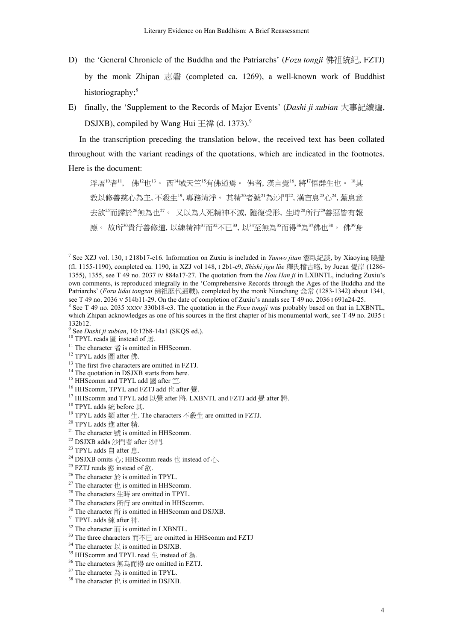- D) the 'General Chronicle of the Buddha and the Patriarchs' (*Fozu tongji* 佛祖統紀, FZTJ) by the monk Zhipan 志磐 (completed ca. 1269), a well-known work of Buddhist historiography;<sup>8</sup>
- E) finally, the 'Supplement to the Records of Major Events' (*Dashi ji xubian* 大事記續編, DSJXB), compiled by Wang Hui 王禕 (d. 1373). $^9$

In the transcription preceding the translation below, the received text has been collated throughout with the variant readings of the quotations, which are indicated in the footnotes. Here is the document:

浮屠<sup>10</sup>者<sup>11</sup>, 佛<sup>12</sup>也<sup>13</sup>。 西<sup>14</sup>域天竺<sup>15</sup>有佛道焉。 佛者, 漢言覺<sup>16</sup>, 將<sup>17</sup>悟群生也。 <sup>18</sup>其 教以修善慈心為主, 不殺生<sup>19</sup>, 專務清淨。 其精<sup>20</sup>者號<sup>21</sup>為沙門<sup>22</sup>, 漢言息<sup>23</sup>心<sup>24</sup>, 蓋息意 去欲<sup>25</sup>而歸於<sup>26</sup>無為也<sup>27</sup>。又以為人死精神不滅, 隨復受形, 生時<sup>28</sup>所行<sup>29</sup>善惡皆有報 應。 故所 $^{30}$ 貴行善修道, 以練精神 $^{31}$ 而 $^{32}$ 不已 $^{33}$ , 以 $^{34}$ 至無為 $^{35}$ 而得 $^{36}$ 為 $^{37}$ 佛也 $^{38}$ 。 佛 $^{39}$ 身

- <sup>11</sup> The character  $\#$  is omitted in HHScomm.
- 
- <sup>12</sup> TPYL adds 圖 after 佛.<br><sup>13</sup> The first five characters are omitted in FZTJ.
- <sup>14</sup> The quotation in DSJXB starts from here.<br><sup>15</sup> HHScomm and TPYL add  $\overline{\boxtimes}$  after  $\stackrel{\text{def}}{=}$ .
- 
- $16$  HHScomm, TPYL and FZTJ add  $#$  after 覺.
- <sup>17</sup> HHScomm and TPYL add 以覺 after 將. LXBNTL and FZTJ add 覺 after 將.
- <sup>18</sup> TPYL adds 統 before 其.
- <sup>19</sup> TPYL adds 類 after 牛. The characters 不殺牛 are omitted in FZTJ.
- <sup>20</sup> TPYL adds 進 after 精.
- $21$  The character 號 is omitted in HHScomm.
- <sup>22</sup> DSJXB adds 沙門者 after 沙門.
- $23$  TPYL adds 白 after 息.
- <sup>24</sup> DSJXB omits  $\hat{\psi}$ ; HHScomm reads  $\hat{\psi}$  instead of  $\hat{\psi}$ .
- $25$  FZTJ reads 慾 instead of 欲.
- <sup>26</sup> The character  $\hat{\mathbb{R}}$  is omitted in TPYL.
- <sup>27</sup> The character  $\pm \mathbf{j}$  is omitted in HHScomm.
- <sup>28</sup> The characters  $\pm$  loss are omitted in TPYL.
- <sup>29</sup> The characters  $\frac{29}{3}$  are omitted in HHScomm.
- $30$  The character  $\frac{25}{10}$  is omitted in HHScomm and DSJXB.
- <sup>31</sup> TPYL adds 練 after 神.
- $32$  The character  $\overline{m}$  is omitted in LXBNTL.
- <sup>33</sup> The three characters  $\overline{m}$  $\overline{A}$   $\overline{E}$  are omitted in HHScomm and FZTJ
- $34$  The character  $\mu$  is omitted in DSJXB.
- <sup>35</sup> HHScomm and TPYL read  $\pm$  instead of 為.
- <sup>36</sup> The characters 無為而得 are omitted in FZTJ.
- <sup>37</sup> The character 為 is omitted in TPYL.
- $38$  The character  $\pm$  is omitted in DSJXB.

 <sup>7</sup> See XZJ vol. 130, <sup>I</sup> 218b17-c16. Information on Zuxiu is included in *Yunwo jitan* 雲臥紀談, by Xiaoying 曉瑩 (fl. 1155-1190), completed ca. 1190, in XZJ vol 148, I 2b1-c9; *Shishi jigu lüe* 釋氏稽古略, by Juean 覺岸 (1286- 1355), 1355, see T 49 no. 2037 IV 884a17-27. The quotation from the *Hou Han ji* in LXBNTL, including Zuxiu's own comments, is reproduced integrally in the 'Comprehensive Records through the Ages of the Buddha and the Patriarchs' (*Fozu lidai tongzai* 佛祖歷代通載), completed by the monk Nianchang 念常 (1283-1342) about 1341,

see T 49 no. 2036 v 514b11-29. On the date of completion of Zuxiu's annals see T 49 no. 2036 1691a24-25.<br><sup>8</sup> See T 49 no. 2035 xxxv 330b18-c3. The quotation in the *Fozu tongji* was probably based on that in LXBNTL, which Zhipan acknowledges as one of his sources in the first chapter of his monumental work, see T 49 no. 2035 1 132b12. <sup>9</sup> See *Dashi ji xubian*, 10:12b8-14a1 (SKQS ed.). <sup>10</sup> TPYL reads <sup>圖</sup> instead of 屠.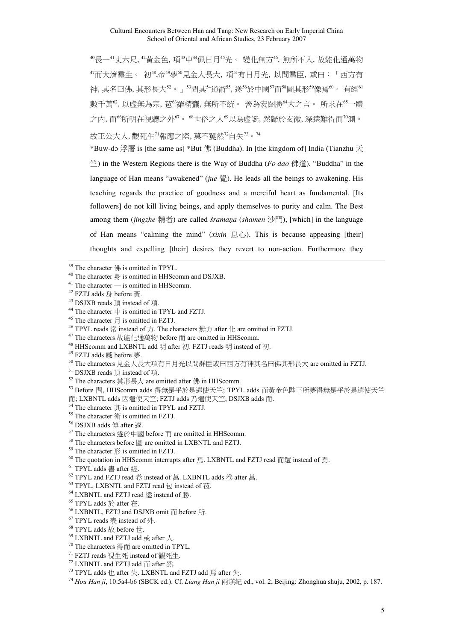<sup>40</sup>長一<sup>41</sup>丈六尺, <sup>42</sup>黃金色, 項<sup>43</sup>中<sup>44</sup>佩日月<sup>45</sup>光。 變化無方46, 無所不入, 故能化通萬物  $^{47}$ 而大濟羣生。初 $^{48}$ 帝 $^{49}$ 夢 $^{50}$ 見金人長大, 項 $^{51}$ 有日月光, 以問羣臣, 或曰: 「西方有 神, 其名曰佛, 其形長大 $^{52}$ 。」 $^{53}$ 問其 $^{54}$ 道術 $^{55}$ , 遂 $^{56}$ 於中國 $^{57}$ 而 $^{58}$ 圖其形 $^{59}$ 像焉 $^{60}$ 。有經 $^{61}$ 數千萬<sup>62</sup>, 以虛無為宗, 苞<sup>63</sup>羅精麤, 無所不統。 善為宏闊勝"大之言。 所求在<sup>65</sup>一體 之内, 而"所明在視聽之外"。 "世俗之人"以為虛誕, 然歸於玄微, 深遠難得而"測。 故王公大人, 觀死生<sup>71</sup>報應之際, 莫不矍然<sup>72</sup>自失<sup>73。74</sup>

\*Buw-dɔ 浮屠 is [the same as] \*But 佛 (Buddha). In [the kingdom of] India (Tianzhu 天 竺) in the Western Regions there is the Way of Buddha (*Fo dao* 佛道). "Buddha" in the language of Han means "awakened" (*jue* 覺). He leads all the beings to awakening. His teaching regards the practice of goodness and a merciful heart as fundamental. [Its followers] do not kill living beings, and apply themselves to purity and calm. The Best among them (*jingzhe* 精者) are called *śramaṇa* (*shamen* 沙門), [which] in the language of Han means "calming the mind" (*xixin* 息心). This is because appeasing [their] thoughts and expelling [their] desires they revert to non-action. Furthermore they

- <sup>42</sup> FZTJ adds 身 before 黃.
- <sup>43</sup> DSJXB reads 頂 instead of 項.
- <sup>44</sup> The character  $\uparrow$  is omitted in TPYL and FZTJ.
- $^{45}$  The character  $\bigtriangledown$  is omitted in FZTJ.
- <sup>46</sup> TPYL reads 常 instead of 方. The characters 無方 after  $|$  are omitted in FZTJ.
- <sup>47</sup> The characters 故能化通萬物 before 而 are omitted in HHScomm.
- <sup>48</sup> HHScomm and LXBNTL add 明 after 初. FZTJ reads 明 instead of 初.
- <sup>49</sup> FZTJ adds 感 before 夢.

<sup>51</sup> DSJXB reads 頂 instead of 項.

<sup>53</sup> Before 問, HHScomm adds 得無是乎於是遣使天竺; TPYL adds 而黃金色陛下所夢得無是乎於是遣使天竺 而; LXBNTL adds 因遣使天竺; FZTJ adds 乃遣使天竺; DSJXB adds 而.

- $54$  The character  $\ddagger$  is omitted in TPYL and FZTJ.
- <sup>55</sup> The character 術 is omitted in FZTJ.
- <sup>56</sup> DSJXB adds 傳 after 遂.
- $57$  The characters 遂於中國 before 而 are omitted in HHScomm.
- <sup>58</sup> The characters before 圖 are omitted in LXBNTL and FZTJ.
- $59$  The character  $H\!/\!\!\!\!\!\!/$  is omitted in FZTJ.
- <sup>60</sup> The quotation in HHScomm interrupts after 焉. LXBNTL and FZTJ read 而還 instead of 焉.
- $61$  TPYL adds 書 after 經.
- $62$  TPYL and FZTJ read 卷 instead of 萬. LXBNTL adds 卷 after 萬.
- <sup>63</sup> TPYL, LXBNTL and FZTJ read 包 instead of 苞.
- <sup>64</sup> LXBNTL and FZTJ read 遠 instead of 勝.
- $65$  TPYL adds 於 after 在.
- <sup>66</sup> LXBNTL, FZTJ and DSJXB omit 而 before 所.
- $67$  TPYL reads 表 instead of 外.
- <sup>68</sup> TPYL adds 故 before 世.
- $^{69}$  LXBNTL and FZTJ add  $\overset{\_}{\Rrightarrow}$  after  $\lambda$ .
- $70$  The characters 得而 are omitted in TPYL.
- <sup>71</sup> FZTJ reads 視生死 instead of 觀死生.
- $72$  LXBNTL and FZTJ add  $\overline{m}$  after 然.
- $73$  TPYL adds  $tL$  after 失. LXBNTL and FZTJ add 焉 after 失.

 $\overline{39}$  The character  $#$  is omitted in TPYL.

<sup>&</sup>lt;sup>40</sup> The character  $\frac{1}{2}$  is omitted in HHScomm and DSJXB.

 $41$  The character  $-$  is omitted in HHScomm.

<sup>50</sup> The characters 見金人長大項有日月光以問群臣或曰西方有神其名曰佛其形長大 are omitted in FZTJ.

<sup>52</sup> The characters 其形長大 are omitted after 佛 in HHScomm.

<sup>74</sup> *Hou Han ji*, 10:5a4-b6 (SBCK ed.). Cf. *Liang Han ji* 兩漢紀 ed., vol. 2; Beijing: Zhonghua shuju, 2002, p. 187.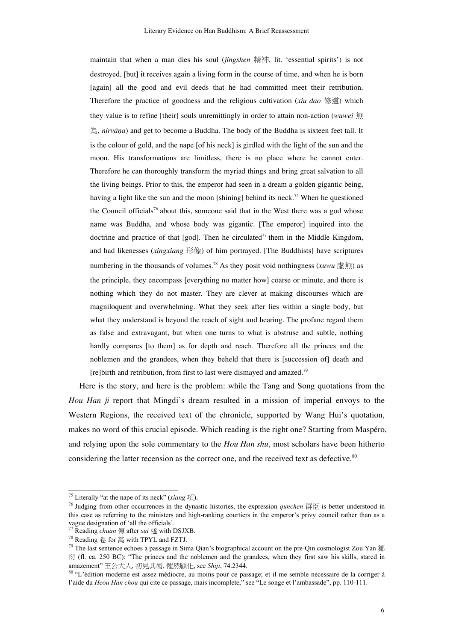maintain that when a man dies his soul (*jingshen* 精神, lit. 'essential spirits') is not destroyed, [but] it receives again a living form in the course of time, and when he is born [again] all the good and evil deeds that he had committed meet their retribution. Therefore the practice of goodness and the religious cultivation (*xiu dao* 修道) which they value is to refine [their] souls unremittingly in order to attain non-action (*wuwei* 無 為, *nirvāṇa*) and get to become a Buddha. The body of the Buddha is sixteen feet tall. It is the colour of gold, and the nape [of his neck] is girdled with the light of the sun and the moon. His transformations are limitless, there is no place where he cannot enter. Therefore he can thoroughly transform the myriad things and bring great salvation to all the living beings. Prior to this, the emperor had seen in a dream a golden gigantic being, having a light like the sun and the moon [shining] behind its neck.<sup>75</sup> When he questioned the Council officials<sup>76</sup> about this, someone said that in the West there was a god whose name was Buddha, and whose body was gigantic. [The emperor] inquired into the doctrine and practice of that [god]. Then he circulated<sup>77</sup> them in the Middle Kingdom, and had likenesses (*xingxiang* 形像) of him portrayed. [The Buddhists] have scriptures numbering in the thousands of volumes.<sup>78</sup> As they posit void nothingness (*xuwu* 虛無) as the principle, they encompass [everything no matter how] coarse or minute, and there is nothing which they do not master. They are clever at making discourses which are magniloquent and overwhelming. What they seek after lies within a single body, but what they understand is beyond the reach of sight and hearing. The profane regard them as false and extravagant, but when one turns to what is abstruse and subtle, nothing hardly compares [to them] as for depth and reach. Therefore all the princes and the noblemen and the grandees, when they beheld that there is [succession of] death and [re]birth and retribution, from first to last were dismayed and amazed.<sup>79</sup>

Here is the story, and here is the problem: while the Tang and Song quotations from the *Hou Han ji* report that Mingdi's dream resulted in a mission of imperial envoys to the Western Regions, the received text of the chronicle, supported by Wang Hui's quotation, makes no word of this crucial episode. Which reading is the right one? Starting from Maspéro, and relying upon the sole commentary to the *Hou Han shu*, most scholars have been hitherto considering the latter recension as the correct one, and the received text as defective.<sup>80</sup>

 <sup>75</sup> Literally "at the nape of its neck" (*xiang* <sup>項</sup>).

<sup>76</sup> Judging from other occurrences in the dynastic histories, the expression *qunchen* 群臣 is better understood in this case as referring to the ministers and high-ranking courtiers in the emperor's privy council rather than as a vague designation of 'all the officials'.

<sup>77</sup> Reading *chuan* 傳 after *sui* 遂 with DSJXB.

<sup>&</sup>lt;sup>78</sup> Reading  $#$  for  $#$  with TPYL and FZTJ.

<sup>79</sup> The last sentence echoes a passage in Sima Qian's biographical account on the pre-Qin cosmologist Zou Yan 鄒  $\hat{C}$  (fl. ca. 250 BC): "The princes and the noblemen and the grandees, when they first saw his skills, stared in amazement" 王公大人, 初見其術, 懼然顧化, see *Shiji*, 74.2344.

<sup>80</sup> "L'édition moderne est assez médiocre, au moins pour ce passage; et il me semble nécessaire de la corriger à l'aide du *Heou Han chou* qui cite ce passage, mais incomplete," see "Le songe et l'ambassade", pp. 110-111.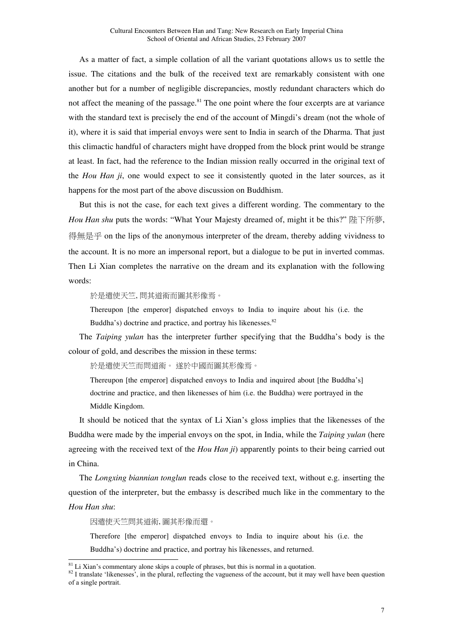As a matter of fact, a simple collation of all the variant quotations allows us to settle the issue. The citations and the bulk of the received text are remarkably consistent with one another but for a number of negligible discrepancies, mostly redundant characters which do not affect the meaning of the passage.<sup>81</sup> The one point where the four excerpts are at variance with the standard text is precisely the end of the account of Mingdi's dream (not the whole of it), where it is said that imperial envoys were sent to India in search of the Dharma. That just this climactic handful of characters might have dropped from the block print would be strange at least. In fact, had the reference to the Indian mission really occurred in the original text of the *Hou Han ji*, one would expect to see it consistently quoted in the later sources, as it happens for the most part of the above discussion on Buddhism.

But this is not the case, for each text gives a different wording. The commentary to the *Hou Han shu* puts the words: "What Your Majesty dreamed of, might it be this?" 陛下所夢, 得無是乎 on the lips of the anonymous interpreter of the dream, thereby adding vividness to the account. It is no more an impersonal report, but a dialogue to be put in inverted commas. Then Li Xian completes the narrative on the dream and its explanation with the following words:

於是遣使天竺, 問其道術而圖其形像焉。

Thereupon [the emperor] dispatched envoys to India to inquire about his (i.e. the Buddha's) doctrine and practice, and portray his likenesses.<sup>82</sup>

The *Taiping yulan* has the interpreter further specifying that the Buddha's body is the colour of gold, and describes the mission in these terms:

於是遣使天竺而問道術。 遂於中國而圖其形像焉。

Thereupon [the emperor] dispatched envoys to India and inquired about [the Buddha's] doctrine and practice, and then likenesses of him (i.e. the Buddha) were portrayed in the Middle Kingdom.

It should be noticed that the syntax of Li Xian's gloss implies that the likenesses of the Buddha were made by the imperial envoys on the spot, in India, while the *Taiping yulan* (here agreeing with the received text of the *Hou Han ji*) apparently points to their being carried out in China.

The *Longxing biannian tonglun* reads close to the received text, without e.g. inserting the question of the interpreter, but the embassy is described much like in the commentary to the *Hou Han shu*:

因遣使天竺問其道術, 圖其形像而還。

Therefore [the emperor] dispatched envoys to India to inquire about his (i.e. the Buddha's) doctrine and practice, and portray his likenesses, and returned.

<sup>&</sup>lt;sup>81</sup> Li Xian's commentary alone skips a couple of phrases, but this is normal in a quotation. <sup>82</sup> I translate 'likenesses', in the plural, reflecting the vagueness of the account, but it may well have been question of a single portrait.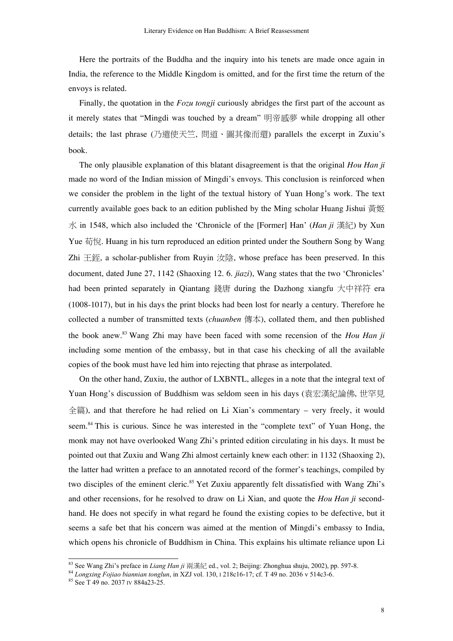Here the portraits of the Buddha and the inquiry into his tenets are made once again in India, the reference to the Middle Kingdom is omitted, and for the first time the return of the envoys is related.

Finally, the quotation in the *Fozu tongji* curiously abridges the first part of the account as it merely states that "Mingdi was touched by a dream" 明帝感夢 while dropping all other details; the last phrase (乃遣使天竺, 問道、圖其像而還) parallels the excerpt in Zuxiu's book.

The only plausible explanation of this blatant disagreement is that the original *Hou Han ji* made no word of the Indian mission of Mingdi's envoys. This conclusion is reinforced when we consider the problem in the light of the textual history of Yuan Hong's work. The text currently available goes back to an edition published by the Ming scholar Huang Jishui 黃姬 水 in 1548, which also included the 'Chronicle of the [Former] Han' (*Han ji* 漢紀) by Xun Yue 荀悅. Huang in his turn reproduced an edition printed under the Southern Song by Wang Zhi 王銍, a scholar-publisher from Ruyin 汝陰, whose preface has been preserved. In this document, dated June 27, 1142 (Shaoxing 12. 6. *jiazi*), Wang states that the two 'Chronicles' had been printed separately in Qiantang 錢唐 during the Dazhong xiangfu 大中祥符 era (1008-1017), but in his days the print blocks had been lost for nearly a century. Therefore he collected a number of transmitted texts (*chuanben* 傳本), collated them, and then published the book anew. <sup>83</sup> Wang Zhi may have been faced with some recension of the *Hou Han ji* including some mention of the embassy, but in that case his checking of all the available copies of the book must have led him into rejecting that phrase as interpolated.

On the other hand, Zuxiu, the author of LXBNTL, alleges in a note that the integral text of Yuan Hong's discussion of Buddhism was seldom seen in his days (袁宏漢紀論佛, 世罕見 全篇), and that therefore he had relied on Li Xian's commentary – very freely, it would seem.<sup>84</sup> This is curious. Since he was interested in the "complete text" of Yuan Hong, the monk may not have overlooked Wang Zhi's printed edition circulating in his days. It must be pointed out that Zuxiu and Wang Zhi almost certainly knew each other: in 1132 (Shaoxing 2), the latter had written a preface to an annotated record of the former's teachings, compiled by two disciples of the eminent cleric.<sup>85</sup> Yet Zuxiu apparently felt dissatisfied with Wang Zhi's and other recensions, for he resolved to draw on Li Xian, and quote the *Hou Han ji* secondhand. He does not specify in what regard he found the existing copies to be defective, but it seems a safe bet that his concern was aimed at the mention of Mingdi's embassy to India, which opens his chronicle of Buddhism in China. This explains his ultimate reliance upon Li

 <sup>83</sup> See Wang Zhi's preface in *Liang Han ji* 兩漢紀 ed., vol. 2; Beijing: Zhonghua shuju, 2002), pp. 597-8.

<sup>84</sup> *Longxing Fojiao biannian tonglun*, in XZJ vol. 130, <sup>I</sup> 218c16-17; cf. <sup>T</sup> <sup>49</sup> no. <sup>2036</sup> <sup>v</sup> 514c3-6. <sup>85</sup> See <sup>T</sup> <sup>49</sup> no. <sup>2037</sup> IV 884a23-25.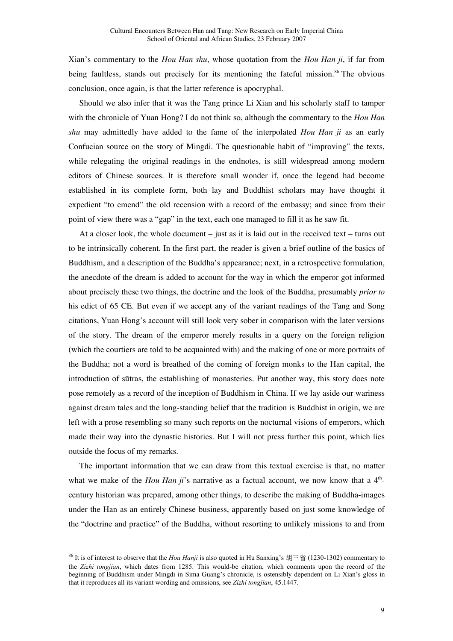Xian's commentary to the *Hou Han shu*, whose quotation from the *Hou Han ji*, if far from being faultless, stands out precisely for its mentioning the fateful mission.<sup>86</sup> The obvious conclusion, once again, is that the latter reference is apocryphal.

Should we also infer that it was the Tang prince Li Xian and his scholarly staff to tamper with the chronicle of Yuan Hong? I do not think so, although the commentary to the *Hou Han shu* may admittedly have added to the fame of the interpolated *Hou Han ji* as an early Confucian source on the story of Mingdi. The questionable habit of "improving" the texts, while relegating the original readings in the endnotes, is still widespread among modern editors of Chinese sources. It is therefore small wonder if, once the legend had become established in its complete form, both lay and Buddhist scholars may have thought it expedient "to emend" the old recension with a record of the embassy; and since from their point of view there was a "gap" in the text, each one managed to fill it as he saw fit.

At a closer look, the whole document  $-$  just as it is laid out in the received text – turns out to be intrinsically coherent. In the first part, the reader is given a brief outline of the basics of Buddhism, and a description of the Buddha's appearance; next, in a retrospective formulation, the anecdote of the dream is added to account for the way in which the emperor got informed about precisely these two things, the doctrine and the look of the Buddha, presumably *prior to* his edict of 65 CE. But even if we accept any of the variant readings of the Tang and Song citations, Yuan Hong's account will still look very sober in comparison with the later versions of the story. The dream of the emperor merely results in a query on the foreign religion (which the courtiers are told to be acquainted with) and the making of one or more portraits of the Buddha; not a word is breathed of the coming of foreign monks to the Han capital, the introduction of sūtras, the establishing of monasteries. Put another way, this story does note pose remotely as a record of the inception of Buddhism in China. If we lay aside our wariness against dream tales and the long-standing belief that the tradition is Buddhist in origin, we are left with a prose resembling so many such reports on the nocturnal visions of emperors, which made their way into the dynastic histories. But I will not press further this point, which lies outside the focus of my remarks.

The important information that we can draw from this textual exercise is that, no matter what we make of the *Hou Han*  $ji$ 's narrative as a factual account, we now know that a  $4<sup>th</sup>$ century historian was prepared, among other things, to describe the making of Buddha-images under the Han as an entirely Chinese business, apparently based on just some knowledge of the "doctrine and practice" of the Buddha, without resorting to unlikely missions to and from

 <sup>86</sup> It is of interest to observe that the *Hou Hanji* is also quoted in Hu Sanxing's 胡三省 (1230-1302) commentary to the *Zizhi tongjian*, which dates from 1285. This would-be citation, which comments upon the record of the beginning of Buddhism under Mingdi in Sima Guang's chronicle, is ostensibly dependent on Li Xian's gloss in that it reproduces all its variant wording and omissions, see *Zizhi tongjian*, 45.1447.